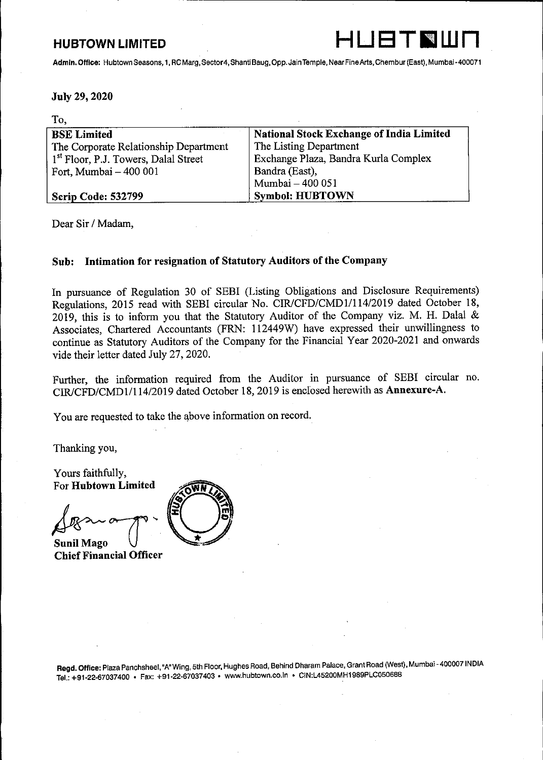# HUBTOWN LIMITED . HUBTOWN LIMITED



J

### July 29, 2020

| <b>HUBTOWN LIMITED</b>                                                                                                          | HUBTNUI                                         |  |  |  |  |
|---------------------------------------------------------------------------------------------------------------------------------|-------------------------------------------------|--|--|--|--|
| Admin. Office: Hubtown Seasons, 1, RC Marg, Sector 4, Shanti Baug, Opp. Jain Temple, Near Fine Arts, Chembur (East), Mumbai-400 |                                                 |  |  |  |  |
|                                                                                                                                 |                                                 |  |  |  |  |
|                                                                                                                                 |                                                 |  |  |  |  |
| July 29, 2020                                                                                                                   |                                                 |  |  |  |  |
| To,                                                                                                                             |                                                 |  |  |  |  |
| <b>BSE Limited</b>                                                                                                              | <b>National Stock Exchange of India Limited</b> |  |  |  |  |
| The Corporate Relationship Department                                                                                           | The Listing Department                          |  |  |  |  |
| 1 <sup>st</sup> Floor, P.J. Towers, Dalal Street                                                                                | Exchange Plaza, Bandra Kurla Complex            |  |  |  |  |
| Fort, Mumbai - 400 001                                                                                                          | Bandra (East),                                  |  |  |  |  |
|                                                                                                                                 | Mumbai - 400 051                                |  |  |  |  |
| Scrip Code: 532799                                                                                                              | <b>Symbol: HUBTOWN</b>                          |  |  |  |  |

Dear Sir / Madam,

### Sub: Intimation for resignation of Statutory Auditors of the Company

In pursuance of Regulation 30 of SEBI (Listing Obligations and Disclosure Requirements) Regulations, 2015 read with SEBI circular No. CIR/CFD/CMD1/114/2019 dated October 18, 2019, this is to inform you that the Statutory Auditor of the Company viz. M. H. Dalal & Associates, Chartered Accountants (FRN: 112449W) have expressed their unwillingness to continue as Statutory Auditors of the Company for the Financial Year 2020-2021 and onwards vide their letter dated July 27, 2020.

Further, the information required from the Auditor in pursuance of SEBI circular no. CIR/CFD/CMD1/114/2019 dated October 18, 2019 is enclosed herewith as Annexure-A.

You are requested to take the above information on record.

Thanking you,

the contract of the contract of the contract of the contract of the contract of the contract of the contract of

Yours faithfully, For Hubtown Limited

Sunil Mago Chief Financial Officer



Regd. Office: Plaza Panchsheel, "A" Wing, 5th Floor, Hughes Road, Behind Dharam Palace, Grant Road (West), Mumbai - 400007 INDIA Tel.: +91-22-67037400 » Fax: +91-22-67037403 « www.hubtown.co.In » CIN:L45200MH1 989PLC050688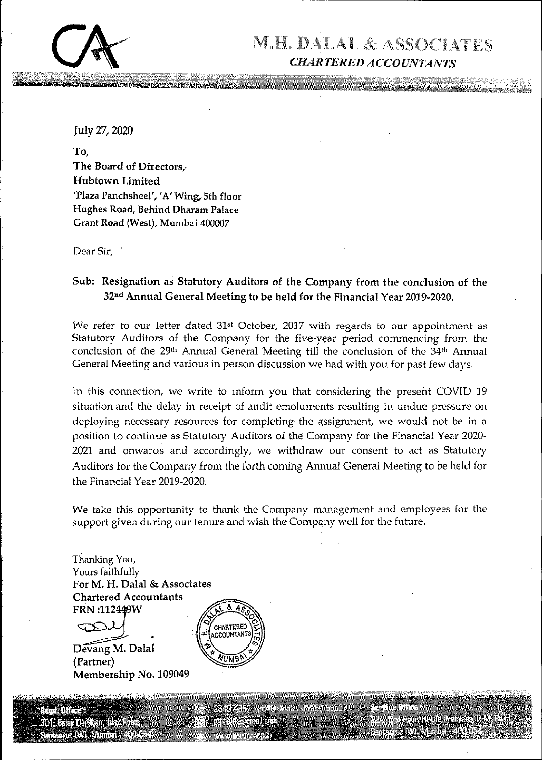

July 27, 2020

and the contract of the contract of the contract of the contract of the contract of the contract of the contract of

-To, The Board of Directors, Hubtown Limited 'Plaza Panchsheel', 'A' Wing, 5th floor Hughes Road, Behind Dharam Palace Grant Road (West), Mumbai 400007

Dear Sir,

## Sub: Resignation as Statutory Auditors of the Company from the conclusion of the 32<sup>nd</sup> Annual General Meeting to be held for the Financial Year 2019-2020.

We refer to our letter dated 31<sup>st</sup> October, 2017 with regards to our appointment as Statutory Auditors of the Company for the five-year period commencing from the conclusion of the 29<sup>th</sup> Annual General Meeting till the conclusion of the 34<sup>th</sup> Annual General Meeting and various in person discussion we had with you for past few days.

arces for completing the assignment<br>tutory Auditors of the Company for<br>accordingly, we withdraw our con-<br>from the forth coming Annual Gene:<br>20.<br>to thank the Company management<br>entire and wish the Company well for<br>the compa Dear Sir,<br>
Sub: Resignation as Statutory Auditors<br>
32<sup>nd</sup> Annual General Meeting to be<br>
We refer to our letter dated 31<sup>e</sup> Octobe<br>
Statutory Auditors of the Company for<br>
conclusion of the 29<sup>n</sup> Annual General Meeting and v In this connection, we write to inform you that considering the present COVID 19 situation and the delay in receipt of audit emoluments resulting in undue pressure on deploying necessary resources for completing the assignment, we would not be in a position to continue as Statutory Auditors of the Company for the Financial Year 2020- 2021 and onwards and accordingly, we withdraw our consent to act as Statutory Auditors for the Company from the forth coming Annual General Meeting to be held for the Financial Year 2019-2020.

We take this opportunity to thank the Company management and employees for the support given during our tenure and wish the Company well for the future,

Thanking You, Yours faithfully For M. H. Dalal & Associates Chartered Accountants  $FRN:112449W$ 

Dévang M. Dalal (Partner)

Membership No. 109049

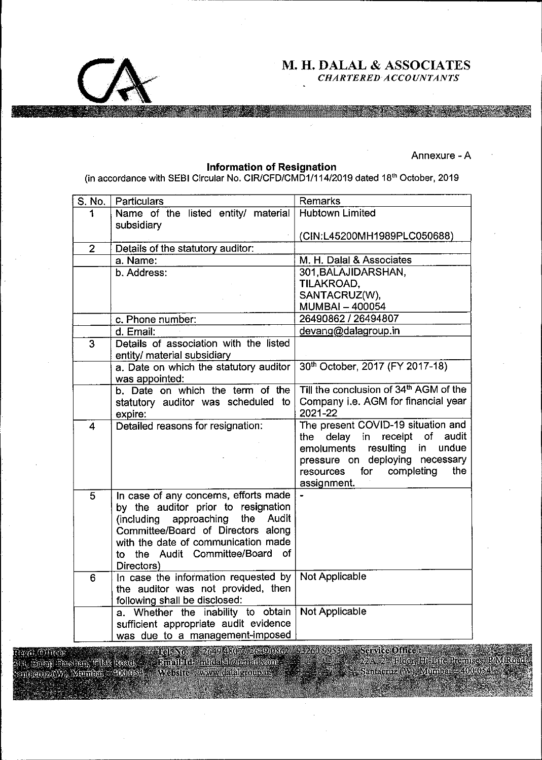

# M. H. DALAL & ASSOCIATES

### Annexure - A

#### Information of Resignation

|             |                 |                                                                                      | M. H. DALAL & ASSOCIATES<br><b>CHARTERED ACCOUNTANTS</b>                     |
|-------------|-----------------|--------------------------------------------------------------------------------------|------------------------------------------------------------------------------|
|             |                 |                                                                                      |                                                                              |
|             |                 |                                                                                      |                                                                              |
|             |                 |                                                                                      |                                                                              |
|             |                 |                                                                                      | Annexure - A                                                                 |
|             |                 | <b>Information of Resignation</b>                                                    |                                                                              |
|             |                 | (in accordance with SEBI Circular No. CIR/CFD/CMD1/114/2019 dated 18th October, 2019 |                                                                              |
|             | S. No.          | Particulars                                                                          | Remarks                                                                      |
|             | 1               | Name of the listed entity/ material                                                  | <b>Hubtown Limited</b>                                                       |
|             |                 | subsidiary                                                                           | (CIN:L45200MH1989PLC050688)                                                  |
|             | $\overline{2}$  | Details of the statutory auditor:                                                    |                                                                              |
|             |                 | a. Name:                                                                             | M. H. Dalal & Associates                                                     |
|             |                 | b. Address:                                                                          | 301, BALAJIDARSHAN,                                                          |
|             |                 |                                                                                      | TILAKROAD,<br>SANTACRUZ(W),                                                  |
|             |                 |                                                                                      | <b>MUMBAI - 400054</b>                                                       |
|             |                 | c. Phone number:                                                                     | 26490862 / 26494807                                                          |
|             |                 | d. Email:                                                                            | devang@dalagroup.in                                                          |
|             | 3               | Details of association with the listed                                               |                                                                              |
|             |                 | entity/ material subsidiary                                                          |                                                                              |
|             |                 | a. Date on which the statutory auditor<br>was appointed:                             | 30th October, 2017 (FY 2017-18)                                              |
|             |                 | b. Date on which the term of the                                                     | Till the conclusion of 34th AGM of the                                       |
|             |                 | statutory auditor was scheduled to<br>expire:                                        | Company i.e. AGM for financial year<br>2021-22                               |
|             | 4               | Detailed reasons for resignation:                                                    | The present COVID-19 situation and<br>delay in receipt<br>of<br>audit<br>the |
|             |                 |                                                                                      | resulting<br>undue<br>emoluments<br>in                                       |
|             |                 |                                                                                      | pressure on deploying necessary                                              |
|             |                 |                                                                                      | for completing<br>the<br>resources                                           |
|             | $5\phantom{.0}$ | In case of any concerns, efforts made                                                | assignment.                                                                  |
|             |                 | by the auditor prior to resignation                                                  |                                                                              |
|             |                 | (including approaching<br>the<br>Audit                                               |                                                                              |
|             |                 | Committee/Board of Directors along<br>with the date of communication made            |                                                                              |
|             |                 | to the Audit Committee/Board of                                                      |                                                                              |
|             |                 | Directors)                                                                           |                                                                              |
|             | $6\phantom{1}6$ | In case the information requested by                                                 | Not Applicable                                                               |
|             |                 | the auditor was not provided, then<br>following shall be disclosed:                  |                                                                              |
|             |                 | a. Whether the inability to obtain                                                   | Not Applicable                                                               |
|             |                 | sufficient appropriate audit evidence                                                |                                                                              |
|             |                 | was due to a management-imposed                                                      |                                                                              |
| YAL (O)HROX |                 | Tel: No. == 2649 48074.2649 0862 / 93260 99537 == Service Office :                   |                                                                              |
|             |                 |                                                                                      |                                                                              |
|             |                 |                                                                                      |                                                                              |
|             |                 |                                                                                      |                                                                              |
|             |                 |                                                                                      |                                                                              |
|             |                 |                                                                                      |                                                                              |
|             |                 |                                                                                      |                                                                              |
|             |                 |                                                                                      |                                                                              |

Service Office : 2A, 2<sup>54</sup> Floor, 11i-Life Premises.<br><sub>R</sub>otacruz (W), Mumbai – 400 05.